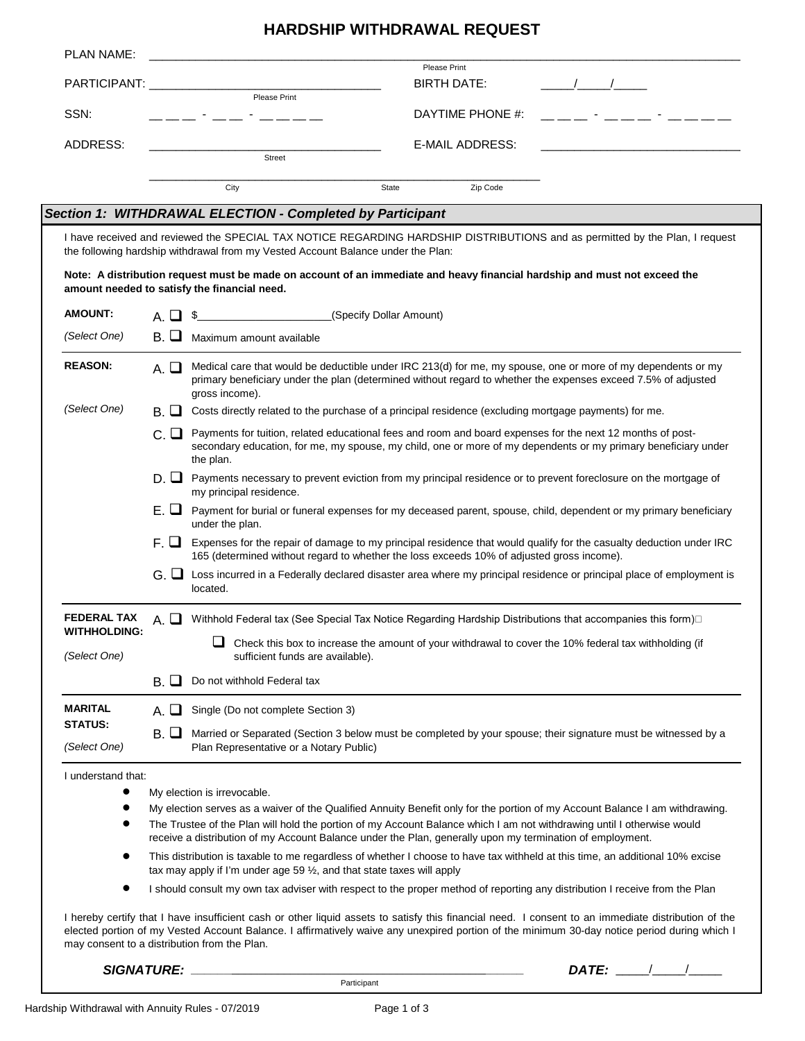## **HARDSHIP WITHDRAWAL REQUEST**

| <b>BIRTH DATE:</b><br>$\frac{1}{2}$<br>Please Print<br>SSN:<br>DAYTIME PHONE #:<br>1991 - 1992 - 1992 - 1992 - 1992 - 1993 - 1994 - 1994 - 1994 - 1994 - 1994 - 1994 - 1994 - 1994 - 1994 - 1994<br><b>E-MAIL ADDRESS:</b><br>Street<br>Zip Code<br>City<br>State<br>Section 1: WITHDRAWAL ELECTION - Completed by Participant<br>I have received and reviewed the SPECIAL TAX NOTICE REGARDING HARDSHIP DISTRIBUTIONS and as permitted by the Plan, I request<br>the following hardship withdrawal from my Vested Account Balance under the Plan:<br>Note: A distribution request must be made on account of an immediate and heavy financial hardship and must not exceed the<br>amount needed to satisfy the financial need.<br>A. D \$________________________(Specify Dollar Amount)<br>B.<br>Maximum amount available<br>Medical care that would be deductible under IRC 213(d) for me, my spouse, one or more of my dependents or my<br>$A.$ $\Box$<br>primary beneficiary under the plan (determined without regard to whether the expenses exceed 7.5% of adjusted<br>gross income).<br>$\mathsf{B}\Box$ Costs directly related to the purchase of a principal residence (excluding mortgage payments) for me.<br>Payments for tuition, related educational fees and room and board expenses for the next 12 months of post-<br>с ш<br>secondary education, for me, my spouse, my child, one or more of my dependents or my primary beneficiary under<br>the plan.<br>$D.$ Payments necessary to prevent eviction from my principal residence or to prevent foreclosure on the mortgage of<br>my principal residence.<br>E. □ Payment for burial or funeral expenses for my deceased parent, spouse, child, dependent or my primary beneficiary<br>under the plan.<br>$F.$ $\Box$ Expenses for the repair of damage to my principal residence that would qualify for the casualty deduction under IRC<br>165 (determined without regard to whether the loss exceeds 10% of adjusted gross income).<br>$G.$ $\Box$<br>Loss incurred in a Federally declared disaster area where my principal residence or principal place of employment is<br>located.<br>$A.$ Withhold Federal tax (See Special Tax Notice Regarding Hardship Distributions that accompanies this form) $\Box$<br><b>WITHHOLDING:</b><br>□ Check this box to increase the amount of your withdrawal to cover the 10% federal tax withholding (if<br>sufficient funds are available).<br>Do not withhold Federal tax<br>в. Ш.<br><b>MARITAL</b><br>Single (Do not complete Section 3)<br>$A.$ $\Box$<br><b>STATUS:</b><br>B. ■ Married or Separated (Section 3 below must be completed by your spouse; their signature must be witnessed by a<br>(Select One)<br>Plan Representative or a Notary Public)<br>I understand that:<br>My election is irrevocable.<br>My election serves as a waiver of the Qualified Annuity Benefit only for the portion of my Account Balance I am withdrawing.<br>The Trustee of the Plan will hold the portion of my Account Balance which I am not withdrawing until I otherwise would<br>receive a distribution of my Account Balance under the Plan, generally upon my termination of employment.<br>This distribution is taxable to me regardless of whether I choose to have tax withheld at this time, an additional 10% excise<br>$\bullet$<br>tax may apply if I'm under age 59 $\frac{1}{2}$ , and that state taxes will apply<br>I should consult my own tax adviser with respect to the proper method of reporting any distribution I receive from the Plan<br>$\bullet$<br>I hereby certify that I have insufficient cash or other liquid assets to satisfy this financial need. I consent to an immediate distribution of the<br>elected portion of my Vested Account Balance. I affirmatively waive any unexpired portion of the minimum 30-day notice period during which I<br>may consent to a distribution from the Plan. | PLAN NAME:         |  |  | Please Print |  |  |  |
|----------------------------------------------------------------------------------------------------------------------------------------------------------------------------------------------------------------------------------------------------------------------------------------------------------------------------------------------------------------------------------------------------------------------------------------------------------------------------------------------------------------------------------------------------------------------------------------------------------------------------------------------------------------------------------------------------------------------------------------------------------------------------------------------------------------------------------------------------------------------------------------------------------------------------------------------------------------------------------------------------------------------------------------------------------------------------------------------------------------------------------------------------------------------------------------------------------------------------------------------------------------------------------------------------------------------------------------------------------------------------------------------------------------------------------------------------------------------------------------------------------------------------------------------------------------------------------------------------------------------------------------------------------------------------------------------------------------------------------------------------------------------------------------------------------------------------------------------------------------------------------------------------------------------------------------------------------------------------------------------------------------------------------------------------------------------------------------------------------------------------------------------------------------------------------------------------------------------------------------------------------------------------------------------------------------------------------------------------------------------------------------------------------------------------------------------------------------------------------------------------------------------------------------------------------------------------------------------------------------------------------------------------------------------------------------------------------------------------------------------------------------------------------------------------------------------------------------------------------------------------------------------------------------------------------------------------------------------------------------------------------------------------------------------------------------------------------------------------------------------------------------------------------------------------------------------------------------------------------------------------------------------------------------------------------------------------------------------------------------------------------------------------------------------------------------------------------------------------------------------------------------------------------------------------------------------------------------------------------------------------------------------------------------------------------------------------------------------------------------------------------------------------------------------------------------------------------------------------------------------------------------------------------------------------------------------------|--------------------|--|--|--------------|--|--|--|
|                                                                                                                                                                                                                                                                                                                                                                                                                                                                                                                                                                                                                                                                                                                                                                                                                                                                                                                                                                                                                                                                                                                                                                                                                                                                                                                                                                                                                                                                                                                                                                                                                                                                                                                                                                                                                                                                                                                                                                                                                                                                                                                                                                                                                                                                                                                                                                                                                                                                                                                                                                                                                                                                                                                                                                                                                                                                                                                                                                                                                                                                                                                                                                                                                                                                                                                                                                                                                                                                                                                                                                                                                                                                                                                                                                                                                                                                                                                                                    |                    |  |  |              |  |  |  |
|                                                                                                                                                                                                                                                                                                                                                                                                                                                                                                                                                                                                                                                                                                                                                                                                                                                                                                                                                                                                                                                                                                                                                                                                                                                                                                                                                                                                                                                                                                                                                                                                                                                                                                                                                                                                                                                                                                                                                                                                                                                                                                                                                                                                                                                                                                                                                                                                                                                                                                                                                                                                                                                                                                                                                                                                                                                                                                                                                                                                                                                                                                                                                                                                                                                                                                                                                                                                                                                                                                                                                                                                                                                                                                                                                                                                                                                                                                                                                    |                    |  |  |              |  |  |  |
|                                                                                                                                                                                                                                                                                                                                                                                                                                                                                                                                                                                                                                                                                                                                                                                                                                                                                                                                                                                                                                                                                                                                                                                                                                                                                                                                                                                                                                                                                                                                                                                                                                                                                                                                                                                                                                                                                                                                                                                                                                                                                                                                                                                                                                                                                                                                                                                                                                                                                                                                                                                                                                                                                                                                                                                                                                                                                                                                                                                                                                                                                                                                                                                                                                                                                                                                                                                                                                                                                                                                                                                                                                                                                                                                                                                                                                                                                                                                                    |                    |  |  |              |  |  |  |
|                                                                                                                                                                                                                                                                                                                                                                                                                                                                                                                                                                                                                                                                                                                                                                                                                                                                                                                                                                                                                                                                                                                                                                                                                                                                                                                                                                                                                                                                                                                                                                                                                                                                                                                                                                                                                                                                                                                                                                                                                                                                                                                                                                                                                                                                                                                                                                                                                                                                                                                                                                                                                                                                                                                                                                                                                                                                                                                                                                                                                                                                                                                                                                                                                                                                                                                                                                                                                                                                                                                                                                                                                                                                                                                                                                                                                                                                                                                                                    | ADDRESS:           |  |  |              |  |  |  |
|                                                                                                                                                                                                                                                                                                                                                                                                                                                                                                                                                                                                                                                                                                                                                                                                                                                                                                                                                                                                                                                                                                                                                                                                                                                                                                                                                                                                                                                                                                                                                                                                                                                                                                                                                                                                                                                                                                                                                                                                                                                                                                                                                                                                                                                                                                                                                                                                                                                                                                                                                                                                                                                                                                                                                                                                                                                                                                                                                                                                                                                                                                                                                                                                                                                                                                                                                                                                                                                                                                                                                                                                                                                                                                                                                                                                                                                                                                                                                    |                    |  |  |              |  |  |  |
|                                                                                                                                                                                                                                                                                                                                                                                                                                                                                                                                                                                                                                                                                                                                                                                                                                                                                                                                                                                                                                                                                                                                                                                                                                                                                                                                                                                                                                                                                                                                                                                                                                                                                                                                                                                                                                                                                                                                                                                                                                                                                                                                                                                                                                                                                                                                                                                                                                                                                                                                                                                                                                                                                                                                                                                                                                                                                                                                                                                                                                                                                                                                                                                                                                                                                                                                                                                                                                                                                                                                                                                                                                                                                                                                                                                                                                                                                                                                                    |                    |  |  |              |  |  |  |
|                                                                                                                                                                                                                                                                                                                                                                                                                                                                                                                                                                                                                                                                                                                                                                                                                                                                                                                                                                                                                                                                                                                                                                                                                                                                                                                                                                                                                                                                                                                                                                                                                                                                                                                                                                                                                                                                                                                                                                                                                                                                                                                                                                                                                                                                                                                                                                                                                                                                                                                                                                                                                                                                                                                                                                                                                                                                                                                                                                                                                                                                                                                                                                                                                                                                                                                                                                                                                                                                                                                                                                                                                                                                                                                                                                                                                                                                                                                                                    |                    |  |  |              |  |  |  |
|                                                                                                                                                                                                                                                                                                                                                                                                                                                                                                                                                                                                                                                                                                                                                                                                                                                                                                                                                                                                                                                                                                                                                                                                                                                                                                                                                                                                                                                                                                                                                                                                                                                                                                                                                                                                                                                                                                                                                                                                                                                                                                                                                                                                                                                                                                                                                                                                                                                                                                                                                                                                                                                                                                                                                                                                                                                                                                                                                                                                                                                                                                                                                                                                                                                                                                                                                                                                                                                                                                                                                                                                                                                                                                                                                                                                                                                                                                                                                    |                    |  |  |              |  |  |  |
|                                                                                                                                                                                                                                                                                                                                                                                                                                                                                                                                                                                                                                                                                                                                                                                                                                                                                                                                                                                                                                                                                                                                                                                                                                                                                                                                                                                                                                                                                                                                                                                                                                                                                                                                                                                                                                                                                                                                                                                                                                                                                                                                                                                                                                                                                                                                                                                                                                                                                                                                                                                                                                                                                                                                                                                                                                                                                                                                                                                                                                                                                                                                                                                                                                                                                                                                                                                                                                                                                                                                                                                                                                                                                                                                                                                                                                                                                                                                                    |                    |  |  |              |  |  |  |
|                                                                                                                                                                                                                                                                                                                                                                                                                                                                                                                                                                                                                                                                                                                                                                                                                                                                                                                                                                                                                                                                                                                                                                                                                                                                                                                                                                                                                                                                                                                                                                                                                                                                                                                                                                                                                                                                                                                                                                                                                                                                                                                                                                                                                                                                                                                                                                                                                                                                                                                                                                                                                                                                                                                                                                                                                                                                                                                                                                                                                                                                                                                                                                                                                                                                                                                                                                                                                                                                                                                                                                                                                                                                                                                                                                                                                                                                                                                                                    | <b>AMOUNT:</b>     |  |  |              |  |  |  |
|                                                                                                                                                                                                                                                                                                                                                                                                                                                                                                                                                                                                                                                                                                                                                                                                                                                                                                                                                                                                                                                                                                                                                                                                                                                                                                                                                                                                                                                                                                                                                                                                                                                                                                                                                                                                                                                                                                                                                                                                                                                                                                                                                                                                                                                                                                                                                                                                                                                                                                                                                                                                                                                                                                                                                                                                                                                                                                                                                                                                                                                                                                                                                                                                                                                                                                                                                                                                                                                                                                                                                                                                                                                                                                                                                                                                                                                                                                                                                    | (Select One)       |  |  |              |  |  |  |
|                                                                                                                                                                                                                                                                                                                                                                                                                                                                                                                                                                                                                                                                                                                                                                                                                                                                                                                                                                                                                                                                                                                                                                                                                                                                                                                                                                                                                                                                                                                                                                                                                                                                                                                                                                                                                                                                                                                                                                                                                                                                                                                                                                                                                                                                                                                                                                                                                                                                                                                                                                                                                                                                                                                                                                                                                                                                                                                                                                                                                                                                                                                                                                                                                                                                                                                                                                                                                                                                                                                                                                                                                                                                                                                                                                                                                                                                                                                                                    | <b>REASON:</b>     |  |  |              |  |  |  |
|                                                                                                                                                                                                                                                                                                                                                                                                                                                                                                                                                                                                                                                                                                                                                                                                                                                                                                                                                                                                                                                                                                                                                                                                                                                                                                                                                                                                                                                                                                                                                                                                                                                                                                                                                                                                                                                                                                                                                                                                                                                                                                                                                                                                                                                                                                                                                                                                                                                                                                                                                                                                                                                                                                                                                                                                                                                                                                                                                                                                                                                                                                                                                                                                                                                                                                                                                                                                                                                                                                                                                                                                                                                                                                                                                                                                                                                                                                                                                    | (Select One)       |  |  |              |  |  |  |
|                                                                                                                                                                                                                                                                                                                                                                                                                                                                                                                                                                                                                                                                                                                                                                                                                                                                                                                                                                                                                                                                                                                                                                                                                                                                                                                                                                                                                                                                                                                                                                                                                                                                                                                                                                                                                                                                                                                                                                                                                                                                                                                                                                                                                                                                                                                                                                                                                                                                                                                                                                                                                                                                                                                                                                                                                                                                                                                                                                                                                                                                                                                                                                                                                                                                                                                                                                                                                                                                                                                                                                                                                                                                                                                                                                                                                                                                                                                                                    |                    |  |  |              |  |  |  |
|                                                                                                                                                                                                                                                                                                                                                                                                                                                                                                                                                                                                                                                                                                                                                                                                                                                                                                                                                                                                                                                                                                                                                                                                                                                                                                                                                                                                                                                                                                                                                                                                                                                                                                                                                                                                                                                                                                                                                                                                                                                                                                                                                                                                                                                                                                                                                                                                                                                                                                                                                                                                                                                                                                                                                                                                                                                                                                                                                                                                                                                                                                                                                                                                                                                                                                                                                                                                                                                                                                                                                                                                                                                                                                                                                                                                                                                                                                                                                    |                    |  |  |              |  |  |  |
|                                                                                                                                                                                                                                                                                                                                                                                                                                                                                                                                                                                                                                                                                                                                                                                                                                                                                                                                                                                                                                                                                                                                                                                                                                                                                                                                                                                                                                                                                                                                                                                                                                                                                                                                                                                                                                                                                                                                                                                                                                                                                                                                                                                                                                                                                                                                                                                                                                                                                                                                                                                                                                                                                                                                                                                                                                                                                                                                                                                                                                                                                                                                                                                                                                                                                                                                                                                                                                                                                                                                                                                                                                                                                                                                                                                                                                                                                                                                                    |                    |  |  |              |  |  |  |
|                                                                                                                                                                                                                                                                                                                                                                                                                                                                                                                                                                                                                                                                                                                                                                                                                                                                                                                                                                                                                                                                                                                                                                                                                                                                                                                                                                                                                                                                                                                                                                                                                                                                                                                                                                                                                                                                                                                                                                                                                                                                                                                                                                                                                                                                                                                                                                                                                                                                                                                                                                                                                                                                                                                                                                                                                                                                                                                                                                                                                                                                                                                                                                                                                                                                                                                                                                                                                                                                                                                                                                                                                                                                                                                                                                                                                                                                                                                                                    |                    |  |  |              |  |  |  |
|                                                                                                                                                                                                                                                                                                                                                                                                                                                                                                                                                                                                                                                                                                                                                                                                                                                                                                                                                                                                                                                                                                                                                                                                                                                                                                                                                                                                                                                                                                                                                                                                                                                                                                                                                                                                                                                                                                                                                                                                                                                                                                                                                                                                                                                                                                                                                                                                                                                                                                                                                                                                                                                                                                                                                                                                                                                                                                                                                                                                                                                                                                                                                                                                                                                                                                                                                                                                                                                                                                                                                                                                                                                                                                                                                                                                                                                                                                                                                    |                    |  |  |              |  |  |  |
|                                                                                                                                                                                                                                                                                                                                                                                                                                                                                                                                                                                                                                                                                                                                                                                                                                                                                                                                                                                                                                                                                                                                                                                                                                                                                                                                                                                                                                                                                                                                                                                                                                                                                                                                                                                                                                                                                                                                                                                                                                                                                                                                                                                                                                                                                                                                                                                                                                                                                                                                                                                                                                                                                                                                                                                                                                                                                                                                                                                                                                                                                                                                                                                                                                                                                                                                                                                                                                                                                                                                                                                                                                                                                                                                                                                                                                                                                                                                                    | <b>FEDERAL TAX</b> |  |  |              |  |  |  |
|                                                                                                                                                                                                                                                                                                                                                                                                                                                                                                                                                                                                                                                                                                                                                                                                                                                                                                                                                                                                                                                                                                                                                                                                                                                                                                                                                                                                                                                                                                                                                                                                                                                                                                                                                                                                                                                                                                                                                                                                                                                                                                                                                                                                                                                                                                                                                                                                                                                                                                                                                                                                                                                                                                                                                                                                                                                                                                                                                                                                                                                                                                                                                                                                                                                                                                                                                                                                                                                                                                                                                                                                                                                                                                                                                                                                                                                                                                                                                    | (Select One)       |  |  |              |  |  |  |
|                                                                                                                                                                                                                                                                                                                                                                                                                                                                                                                                                                                                                                                                                                                                                                                                                                                                                                                                                                                                                                                                                                                                                                                                                                                                                                                                                                                                                                                                                                                                                                                                                                                                                                                                                                                                                                                                                                                                                                                                                                                                                                                                                                                                                                                                                                                                                                                                                                                                                                                                                                                                                                                                                                                                                                                                                                                                                                                                                                                                                                                                                                                                                                                                                                                                                                                                                                                                                                                                                                                                                                                                                                                                                                                                                                                                                                                                                                                                                    |                    |  |  |              |  |  |  |
|                                                                                                                                                                                                                                                                                                                                                                                                                                                                                                                                                                                                                                                                                                                                                                                                                                                                                                                                                                                                                                                                                                                                                                                                                                                                                                                                                                                                                                                                                                                                                                                                                                                                                                                                                                                                                                                                                                                                                                                                                                                                                                                                                                                                                                                                                                                                                                                                                                                                                                                                                                                                                                                                                                                                                                                                                                                                                                                                                                                                                                                                                                                                                                                                                                                                                                                                                                                                                                                                                                                                                                                                                                                                                                                                                                                                                                                                                                                                                    |                    |  |  |              |  |  |  |
|                                                                                                                                                                                                                                                                                                                                                                                                                                                                                                                                                                                                                                                                                                                                                                                                                                                                                                                                                                                                                                                                                                                                                                                                                                                                                                                                                                                                                                                                                                                                                                                                                                                                                                                                                                                                                                                                                                                                                                                                                                                                                                                                                                                                                                                                                                                                                                                                                                                                                                                                                                                                                                                                                                                                                                                                                                                                                                                                                                                                                                                                                                                                                                                                                                                                                                                                                                                                                                                                                                                                                                                                                                                                                                                                                                                                                                                                                                                                                    |                    |  |  |              |  |  |  |
|                                                                                                                                                                                                                                                                                                                                                                                                                                                                                                                                                                                                                                                                                                                                                                                                                                                                                                                                                                                                                                                                                                                                                                                                                                                                                                                                                                                                                                                                                                                                                                                                                                                                                                                                                                                                                                                                                                                                                                                                                                                                                                                                                                                                                                                                                                                                                                                                                                                                                                                                                                                                                                                                                                                                                                                                                                                                                                                                                                                                                                                                                                                                                                                                                                                                                                                                                                                                                                                                                                                                                                                                                                                                                                                                                                                                                                                                                                                                                    |                    |  |  |              |  |  |  |
|                                                                                                                                                                                                                                                                                                                                                                                                                                                                                                                                                                                                                                                                                                                                                                                                                                                                                                                                                                                                                                                                                                                                                                                                                                                                                                                                                                                                                                                                                                                                                                                                                                                                                                                                                                                                                                                                                                                                                                                                                                                                                                                                                                                                                                                                                                                                                                                                                                                                                                                                                                                                                                                                                                                                                                                                                                                                                                                                                                                                                                                                                                                                                                                                                                                                                                                                                                                                                                                                                                                                                                                                                                                                                                                                                                                                                                                                                                                                                    |                    |  |  |              |  |  |  |
|                                                                                                                                                                                                                                                                                                                                                                                                                                                                                                                                                                                                                                                                                                                                                                                                                                                                                                                                                                                                                                                                                                                                                                                                                                                                                                                                                                                                                                                                                                                                                                                                                                                                                                                                                                                                                                                                                                                                                                                                                                                                                                                                                                                                                                                                                                                                                                                                                                                                                                                                                                                                                                                                                                                                                                                                                                                                                                                                                                                                                                                                                                                                                                                                                                                                                                                                                                                                                                                                                                                                                                                                                                                                                                                                                                                                                                                                                                                                                    |                    |  |  |              |  |  |  |
|                                                                                                                                                                                                                                                                                                                                                                                                                                                                                                                                                                                                                                                                                                                                                                                                                                                                                                                                                                                                                                                                                                                                                                                                                                                                                                                                                                                                                                                                                                                                                                                                                                                                                                                                                                                                                                                                                                                                                                                                                                                                                                                                                                                                                                                                                                                                                                                                                                                                                                                                                                                                                                                                                                                                                                                                                                                                                                                                                                                                                                                                                                                                                                                                                                                                                                                                                                                                                                                                                                                                                                                                                                                                                                                                                                                                                                                                                                                                                    |                    |  |  |              |  |  |  |
|                                                                                                                                                                                                                                                                                                                                                                                                                                                                                                                                                                                                                                                                                                                                                                                                                                                                                                                                                                                                                                                                                                                                                                                                                                                                                                                                                                                                                                                                                                                                                                                                                                                                                                                                                                                                                                                                                                                                                                                                                                                                                                                                                                                                                                                                                                                                                                                                                                                                                                                                                                                                                                                                                                                                                                                                                                                                                                                                                                                                                                                                                                                                                                                                                                                                                                                                                                                                                                                                                                                                                                                                                                                                                                                                                                                                                                                                                                                                                    |                    |  |  |              |  |  |  |
|                                                                                                                                                                                                                                                                                                                                                                                                                                                                                                                                                                                                                                                                                                                                                                                                                                                                                                                                                                                                                                                                                                                                                                                                                                                                                                                                                                                                                                                                                                                                                                                                                                                                                                                                                                                                                                                                                                                                                                                                                                                                                                                                                                                                                                                                                                                                                                                                                                                                                                                                                                                                                                                                                                                                                                                                                                                                                                                                                                                                                                                                                                                                                                                                                                                                                                                                                                                                                                                                                                                                                                                                                                                                                                                                                                                                                                                                                                                                                    |                    |  |  |              |  |  |  |
|                                                                                                                                                                                                                                                                                                                                                                                                                                                                                                                                                                                                                                                                                                                                                                                                                                                                                                                                                                                                                                                                                                                                                                                                                                                                                                                                                                                                                                                                                                                                                                                                                                                                                                                                                                                                                                                                                                                                                                                                                                                                                                                                                                                                                                                                                                                                                                                                                                                                                                                                                                                                                                                                                                                                                                                                                                                                                                                                                                                                                                                                                                                                                                                                                                                                                                                                                                                                                                                                                                                                                                                                                                                                                                                                                                                                                                                                                                                                                    |                    |  |  |              |  |  |  |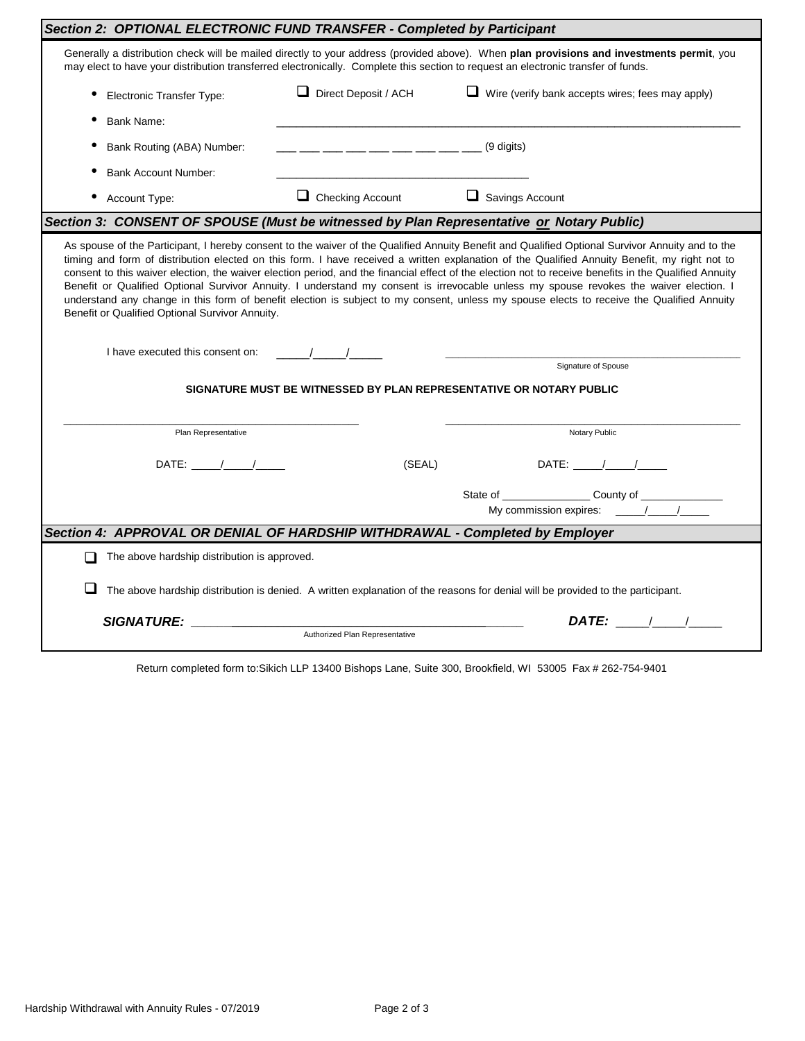| Section 2: OPTIONAL ELECTRONIC FUND TRANSFER - Completed by Participant                                                                                                                                                                                                                                                                                                                                                                                                                                                                                                                                                                                                                                                                                                                                                                   |                                                                                          |                                                         |  |  |  |  |  |  |
|-------------------------------------------------------------------------------------------------------------------------------------------------------------------------------------------------------------------------------------------------------------------------------------------------------------------------------------------------------------------------------------------------------------------------------------------------------------------------------------------------------------------------------------------------------------------------------------------------------------------------------------------------------------------------------------------------------------------------------------------------------------------------------------------------------------------------------------------|------------------------------------------------------------------------------------------|---------------------------------------------------------|--|--|--|--|--|--|
| Generally a distribution check will be mailed directly to your address (provided above). When plan provisions and investments permit, you<br>may elect to have your distribution transferred electronically. Complete this section to request an electronic transfer of funds.                                                                                                                                                                                                                                                                                                                                                                                                                                                                                                                                                            |                                                                                          |                                                         |  |  |  |  |  |  |
| <b>Electronic Transfer Type:</b><br>٠                                                                                                                                                                                                                                                                                                                                                                                                                                                                                                                                                                                                                                                                                                                                                                                                     | Direct Deposit / ACH                                                                     | $\Box$ Wire (verify bank accepts wires; fees may apply) |  |  |  |  |  |  |
| Bank Name:                                                                                                                                                                                                                                                                                                                                                                                                                                                                                                                                                                                                                                                                                                                                                                                                                                |                                                                                          |                                                         |  |  |  |  |  |  |
| Bank Routing (ABA) Number:                                                                                                                                                                                                                                                                                                                                                                                                                                                                                                                                                                                                                                                                                                                                                                                                                | — —— —— —— —— —— —— —— —— (9 digits)                                                     |                                                         |  |  |  |  |  |  |
| <b>Bank Account Number:</b>                                                                                                                                                                                                                                                                                                                                                                                                                                                                                                                                                                                                                                                                                                                                                                                                               |                                                                                          |                                                         |  |  |  |  |  |  |
| • Account Type:                                                                                                                                                                                                                                                                                                                                                                                                                                                                                                                                                                                                                                                                                                                                                                                                                           | $\Box$ Checking Account                                                                  | $\Box$ Savings Account                                  |  |  |  |  |  |  |
|                                                                                                                                                                                                                                                                                                                                                                                                                                                                                                                                                                                                                                                                                                                                                                                                                                           | Section 3: CONSENT OF SPOUSE (Must be witnessed by Plan Representative or Notary Public) |                                                         |  |  |  |  |  |  |
| As spouse of the Participant, I hereby consent to the waiver of the Qualified Annuity Benefit and Qualified Optional Survivor Annuity and to the<br>timing and form of distribution elected on this form. I have received a written explanation of the Qualified Annuity Benefit, my right not to<br>consent to this waiver election, the waiver election period, and the financial effect of the election not to receive benefits in the Qualified Annuity<br>Benefit or Qualified Optional Survivor Annuity. I understand my consent is irrevocable unless my spouse revokes the waiver election. I<br>understand any change in this form of benefit election is subject to my consent, unless my spouse elects to receive the Qualified Annuity<br>Benefit or Qualified Optional Survivor Annuity.<br>I have executed this consent on: |                                                                                          |                                                         |  |  |  |  |  |  |
|                                                                                                                                                                                                                                                                                                                                                                                                                                                                                                                                                                                                                                                                                                                                                                                                                                           |                                                                                          | Signature of Spouse                                     |  |  |  |  |  |  |
| SIGNATURE MUST BE WITNESSED BY PLAN REPRESENTATIVE OR NOTARY PUBLIC                                                                                                                                                                                                                                                                                                                                                                                                                                                                                                                                                                                                                                                                                                                                                                       |                                                                                          |                                                         |  |  |  |  |  |  |
| Plan Representative                                                                                                                                                                                                                                                                                                                                                                                                                                                                                                                                                                                                                                                                                                                                                                                                                       |                                                                                          | Notary Public                                           |  |  |  |  |  |  |
|                                                                                                                                                                                                                                                                                                                                                                                                                                                                                                                                                                                                                                                                                                                                                                                                                                           | (SEAL)                                                                                   | DATE: $\frac{1}{\sqrt{2}}$                              |  |  |  |  |  |  |
|                                                                                                                                                                                                                                                                                                                                                                                                                                                                                                                                                                                                                                                                                                                                                                                                                                           |                                                                                          | My commission expires: _____/____/__                    |  |  |  |  |  |  |
| Section 4: APPROVAL OR DENIAL OF HARDSHIP WITHDRAWAL - Completed by Employer                                                                                                                                                                                                                                                                                                                                                                                                                                                                                                                                                                                                                                                                                                                                                              |                                                                                          |                                                         |  |  |  |  |  |  |
| The above hardship distribution is approved.<br>П                                                                                                                                                                                                                                                                                                                                                                                                                                                                                                                                                                                                                                                                                                                                                                                         |                                                                                          |                                                         |  |  |  |  |  |  |
| The above hardship distribution is denied. A written explanation of the reasons for denial will be provided to the participant.                                                                                                                                                                                                                                                                                                                                                                                                                                                                                                                                                                                                                                                                                                           |                                                                                          |                                                         |  |  |  |  |  |  |
| SIGNATURE: SIGNATURE:                                                                                                                                                                                                                                                                                                                                                                                                                                                                                                                                                                                                                                                                                                                                                                                                                     |                                                                                          | $DATE:$ / /                                             |  |  |  |  |  |  |
|                                                                                                                                                                                                                                                                                                                                                                                                                                                                                                                                                                                                                                                                                                                                                                                                                                           | Authorized Plan Representative                                                           |                                                         |  |  |  |  |  |  |
|                                                                                                                                                                                                                                                                                                                                                                                                                                                                                                                                                                                                                                                                                                                                                                                                                                           |                                                                                          |                                                         |  |  |  |  |  |  |

Return completed form to:Sikich LLP 13400 Bishops Lane, Suite 300, Brookfield, WI 53005 Fax # 262-754-9401